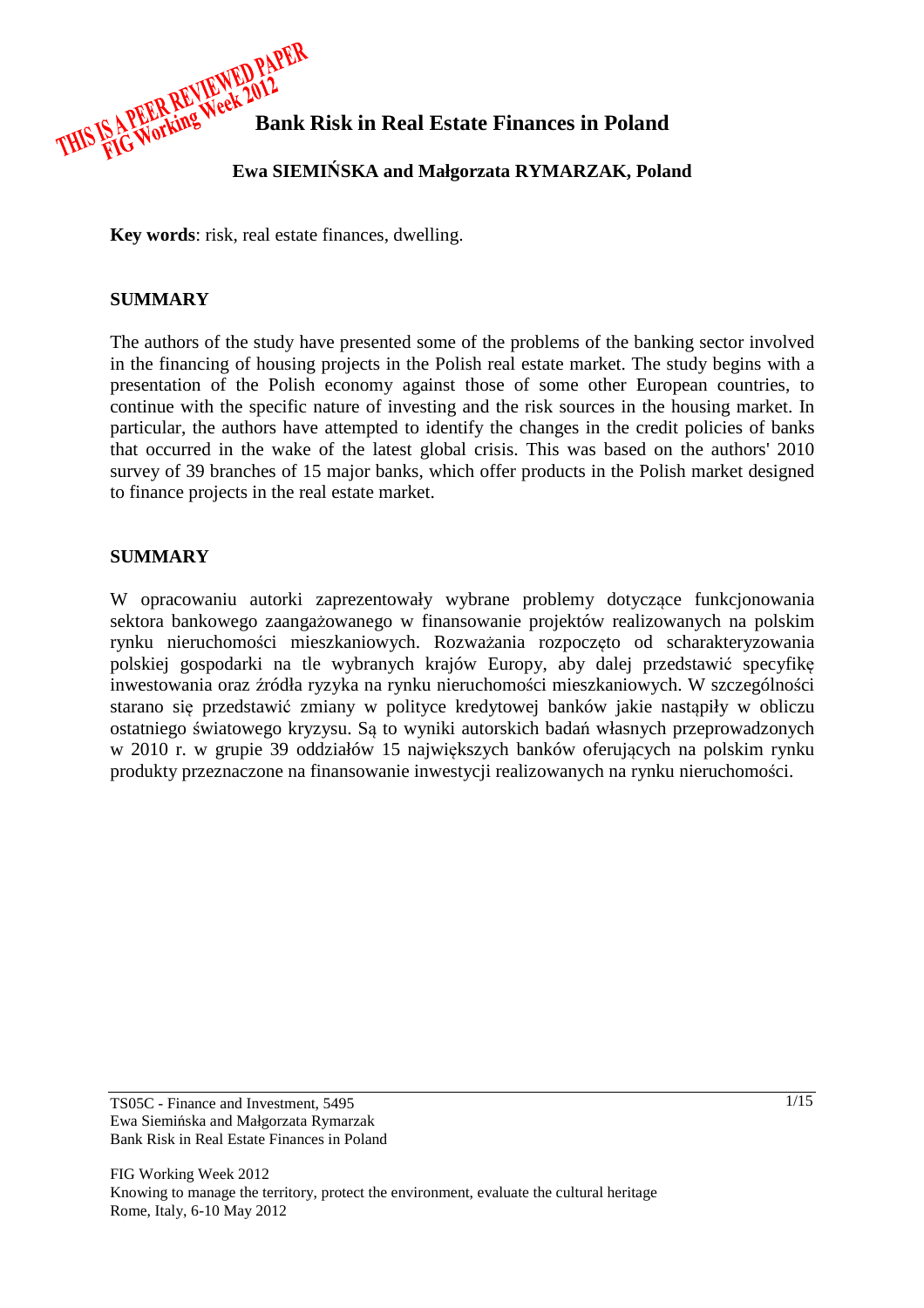

**Ewa SIEMI**Ń**SKA and Małgorzata RYMARZAK, Poland** 

**Key words**: risk, real estate finances, dwelling.

# **SUMMARY**

The authors of the study have presented some of the problems of the banking sector involved in the financing of housing projects in the Polish real estate market. The study begins with a presentation of the Polish economy against those of some other European countries, to continue with the specific nature of investing and the risk sources in the housing market. In particular, the authors have attempted to identify the changes in the credit policies of banks that occurred in the wake of the latest global crisis. This was based on the authors' 2010 survey of 39 branches of 15 major banks, which offer products in the Polish market designed to finance projects in the real estate market.

# **SUMMARY**

W opracowaniu autorki zaprezentowały wybrane problemy dotyczące funkcjonowania sektora bankowego zaangażowanego w finansowanie projektów realizowanych na polskim rynku nieruchomości mieszkaniowych. Rozważania rozpoczęto od scharakteryzowania polskiej gospodarki na tle wybranych krajów Europy, aby dalej przedstawić specyfikę inwestowania oraz źródła ryzyka na rynku nieruchomości mieszkaniowych. W szczególności starano się przedstawić zmiany w polityce kredytowej banków jakie nastąpiły w obliczu ostatniego światowego kryzysu. Są to wyniki autorskich badań własnych przeprowadzonych w 2010 r. w grupie 39 oddziałów 15 największych banków oferujących na polskim rynku produkty przeznaczone na finansowanie inwestycji realizowanych na rynku nieruchomości.

TS05C - Finance and Investment, 5495 Ewa Siemińska and Małgorzata Rymarzak Bank Risk in Real Estate Finances in Poland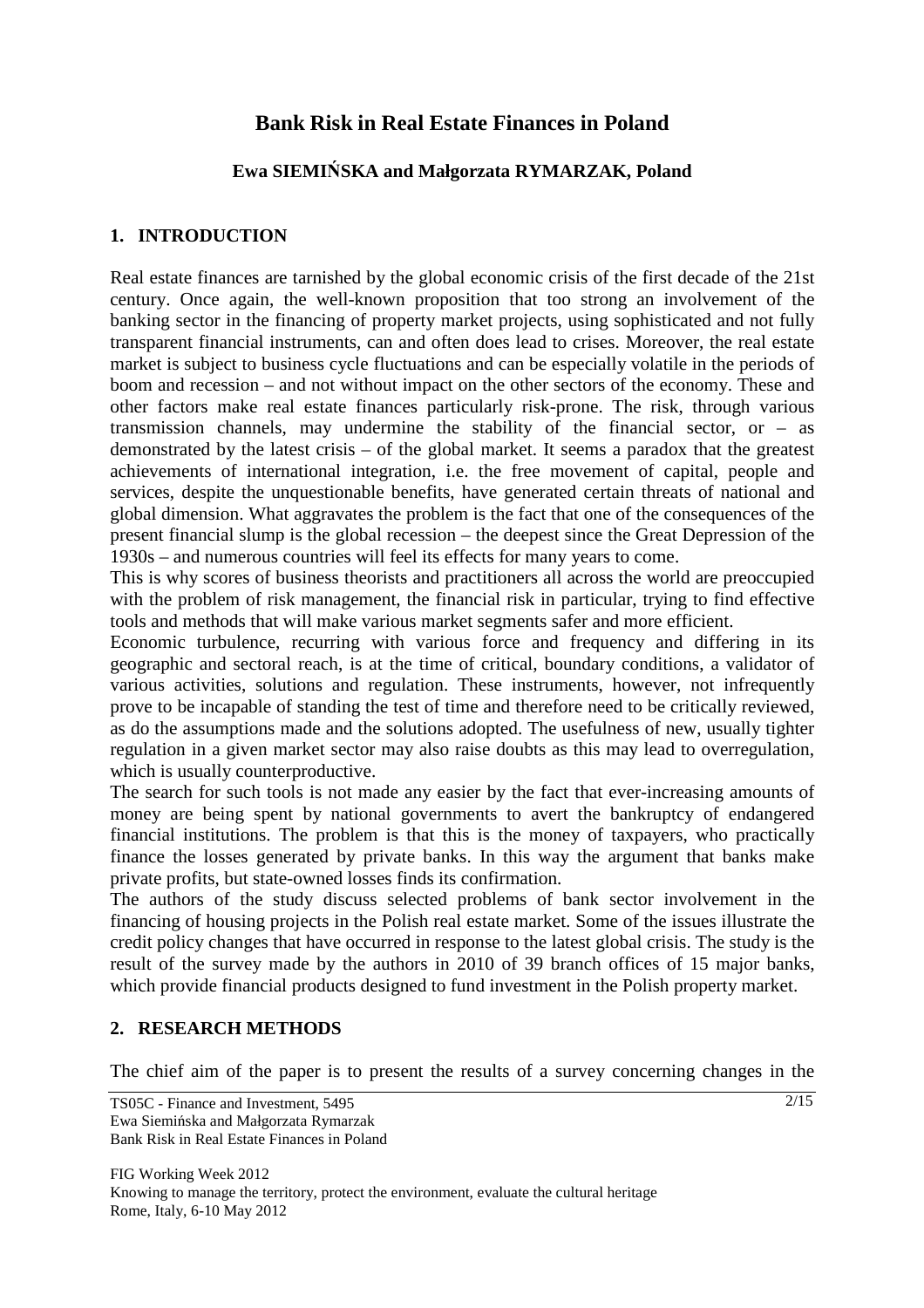# **Bank Risk in Real Estate Finances in Poland**

# **Ewa SIEMI**Ń**SKA and Małgorzata RYMARZAK, Poland**

# **1. INTRODUCTION**

Real estate finances are tarnished by the global economic crisis of the first decade of the 21st century. Once again, the well-known proposition that too strong an involvement of the banking sector in the financing of property market projects, using sophisticated and not fully transparent financial instruments, can and often does lead to crises. Moreover, the real estate market is subject to business cycle fluctuations and can be especially volatile in the periods of boom and recession – and not without impact on the other sectors of the economy. These and other factors make real estate finances particularly risk-prone. The risk, through various transmission channels, may undermine the stability of the financial sector, or – as demonstrated by the latest crisis – of the global market. It seems a paradox that the greatest achievements of international integration, i.e. the free movement of capital, people and services, despite the unquestionable benefits, have generated certain threats of national and global dimension. What aggravates the problem is the fact that one of the consequences of the present financial slump is the global recession – the deepest since the Great Depression of the 1930s – and numerous countries will feel its effects for many years to come.

This is why scores of business theorists and practitioners all across the world are preoccupied with the problem of risk management, the financial risk in particular, trying to find effective tools and methods that will make various market segments safer and more efficient.

Economic turbulence, recurring with various force and frequency and differing in its geographic and sectoral reach, is at the time of critical, boundary conditions, a validator of various activities, solutions and regulation. These instruments, however, not infrequently prove to be incapable of standing the test of time and therefore need to be critically reviewed, as do the assumptions made and the solutions adopted. The usefulness of new, usually tighter regulation in a given market sector may also raise doubts as this may lead to overregulation, which is usually counterproductive.

The search for such tools is not made any easier by the fact that ever-increasing amounts of money are being spent by national governments to avert the bankruptcy of endangered financial institutions. The problem is that this is the money of taxpayers, who practically finance the losses generated by private banks. In this way the argument that banks make private profits, but state-owned losses finds its confirmation.

The authors of the study discuss selected problems of bank sector involvement in the financing of housing projects in the Polish real estate market. Some of the issues illustrate the credit policy changes that have occurred in response to the latest global crisis. The study is the result of the survey made by the authors in 2010 of 39 branch offices of 15 major banks, which provide financial products designed to fund investment in the Polish property market.

# **2. RESEARCH METHODS**

The chief aim of the paper is to present the results of a survey concerning changes in the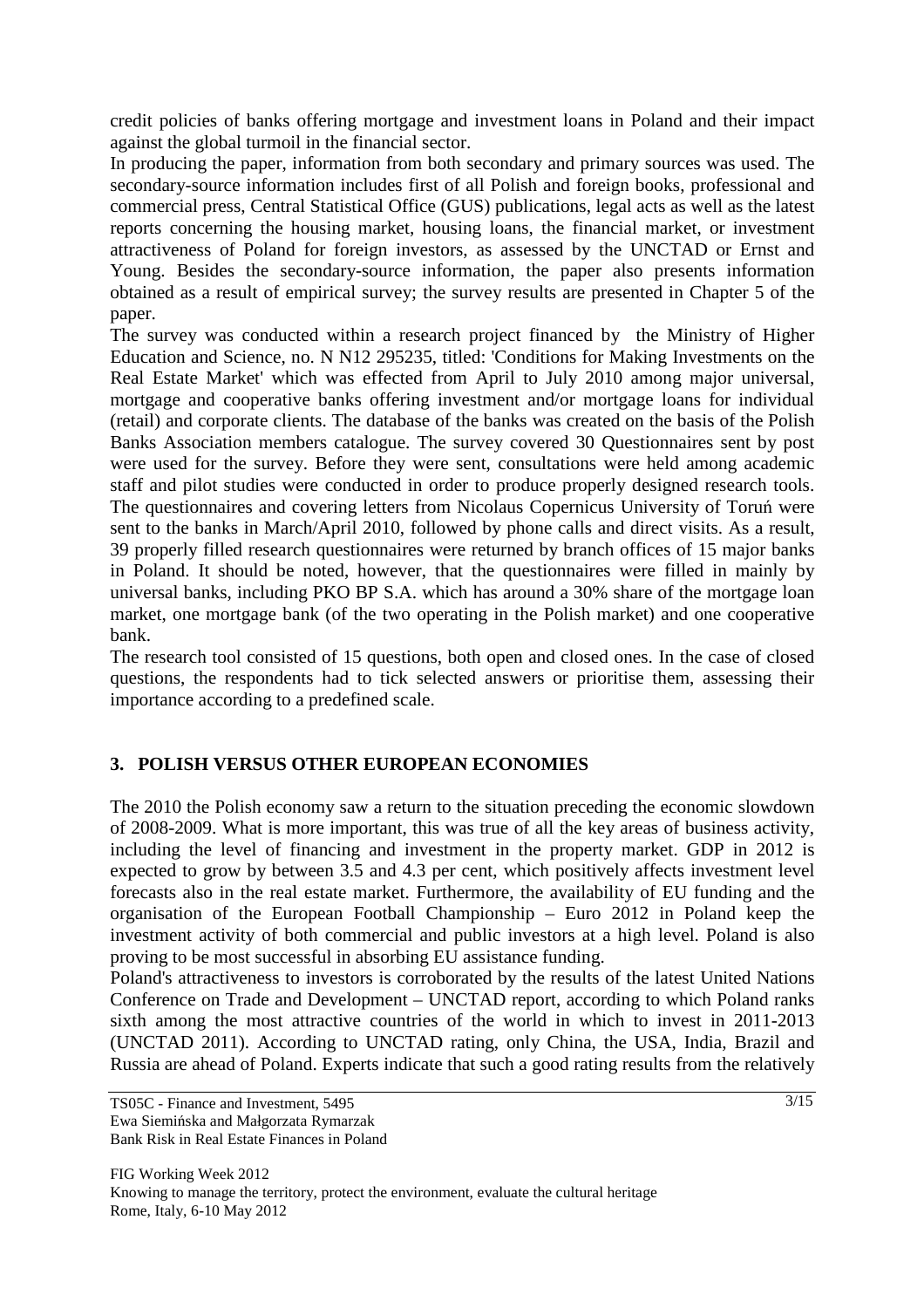credit policies of banks offering mortgage and investment loans in Poland and their impact against the global turmoil in the financial sector.

In producing the paper, information from both secondary and primary sources was used. The secondary-source information includes first of all Polish and foreign books, professional and commercial press, Central Statistical Office (GUS) publications, legal acts as well as the latest reports concerning the housing market, housing loans, the financial market, or investment attractiveness of Poland for foreign investors, as assessed by the UNCTAD or Ernst and Young. Besides the secondary-source information, the paper also presents information obtained as a result of empirical survey; the survey results are presented in Chapter 5 of the paper.

The survey was conducted within a research project financed by the Ministry of Higher Education and Science, no. N N12 295235, titled: 'Conditions for Making Investments on the Real Estate Market' which was effected from April to July 2010 among major universal, mortgage and cooperative banks offering investment and/or mortgage loans for individual (retail) and corporate clients. The database of the banks was created on the basis of the Polish Banks Association members catalogue. The survey covered 30 Questionnaires sent by post were used for the survey. Before they were sent, consultations were held among academic staff and pilot studies were conducted in order to produce properly designed research tools. The questionnaires and covering letters from Nicolaus Copernicus University of Toruń were sent to the banks in March/April 2010, followed by phone calls and direct visits. As a result, 39 properly filled research questionnaires were returned by branch offices of 15 major banks in Poland. It should be noted, however, that the questionnaires were filled in mainly by universal banks, including PKO BP S.A. which has around a 30% share of the mortgage loan market, one mortgage bank (of the two operating in the Polish market) and one cooperative bank.

The research tool consisted of 15 questions, both open and closed ones. In the case of closed questions, the respondents had to tick selected answers or prioritise them, assessing their importance according to a predefined scale.

# **3. POLISH VERSUS OTHER EUROPEAN ECONOMIES**

The 2010 the Polish economy saw a return to the situation preceding the economic slowdown of 2008-2009. What is more important, this was true of all the key areas of business activity, including the level of financing and investment in the property market. GDP in 2012 is expected to grow by between 3.5 and 4.3 per cent, which positively affects investment level forecasts also in the real estate market. Furthermore, the availability of EU funding and the organisation of the European Football Championship – Euro 2012 in Poland keep the investment activity of both commercial and public investors at a high level. Poland is also proving to be most successful in absorbing EU assistance funding.

Poland's attractiveness to investors is corroborated by the results of the latest United Nations Conference on Trade and Development – UNCTAD report, according to which Poland ranks sixth among the most attractive countries of the world in which to invest in 2011-2013 (UNCTAD 2011). According to UNCTAD rating, only China, the USA, India, Brazil and Russia are ahead of Poland. Experts indicate that such a good rating results from the relatively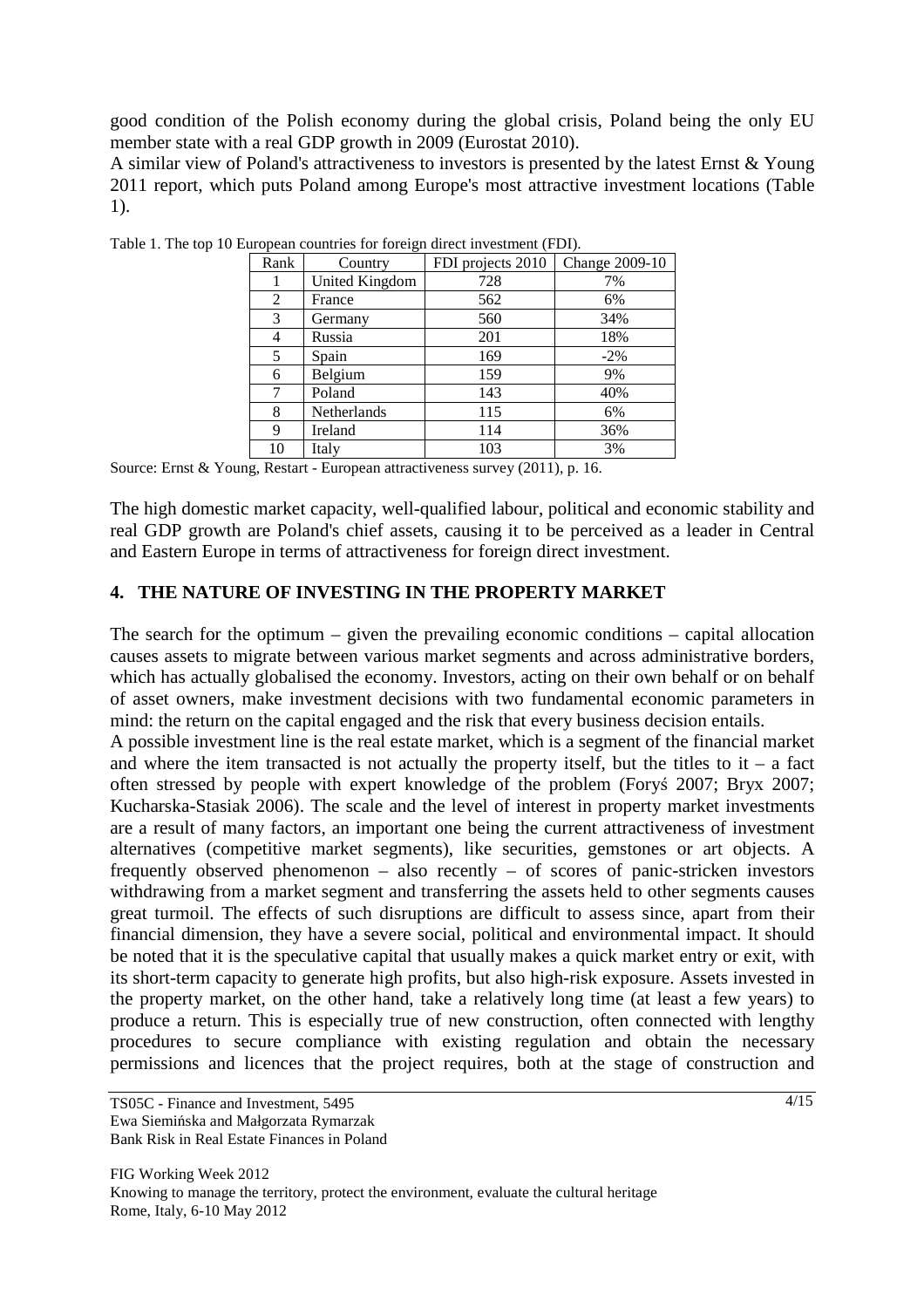good condition of the Polish economy during the global crisis, Poland being the only EU member state with a real GDP growth in 2009 (Eurostat 2010).

A similar view of Poland's attractiveness to investors is presented by the latest Ernst  $&$  Young 2011 report, which puts Poland among Europe's most attractive investment locations (Table 1).

| Rank | -0-<br>Country | FDI projects 2010 | Change 2009-10 |  |
|------|----------------|-------------------|----------------|--|
|      | United Kingdom | 728               | 7%             |  |
| 2    | France         | 562               | 6%             |  |
| 3    | Germany        | 560               | 34%            |  |
| 4    | Russia         | 201               | 18%            |  |
| 5    | Spain          | 169               | $-2\%$         |  |
| 6    | Belgium        | 159               | 9%             |  |
|      | Poland         | 143               | 40%            |  |
| 8    | Netherlands    | 115               | 6%             |  |
| 9    | Ireland        | 114               | 36%            |  |
| 10   | Italy          | 103               | 3%             |  |

Table 1. The top 10 European countries for foreign direct investment (FDI).

Source: Ernst & Young, Restart - European attractiveness survey (2011), p. 16.

The high domestic market capacity, well-qualified labour, political and economic stability and real GDP growth are Poland's chief assets, causing it to be perceived as a leader in Central and Eastern Europe in terms of attractiveness for foreign direct investment.

#### **4. THE NATURE OF INVESTING IN THE PROPERTY MARKET**

The search for the optimum – given the prevailing economic conditions – capital allocation causes assets to migrate between various market segments and across administrative borders, which has actually globalised the economy. Investors, acting on their own behalf or on behalf of asset owners, make investment decisions with two fundamental economic parameters in mind: the return on the capital engaged and the risk that every business decision entails.

A possible investment line is the real estate market, which is a segment of the financial market and where the item transacted is not actually the property itself, but the titles to it – a fact often stressed by people with expert knowledge of the problem (Foryś 2007; Bryx 2007; Kucharska-Stasiak 2006). The scale and the level of interest in property market investments are a result of many factors, an important one being the current attractiveness of investment alternatives (competitive market segments), like securities, gemstones or art objects. A frequently observed phenomenon – also recently – of scores of panic-stricken investors withdrawing from a market segment and transferring the assets held to other segments causes great turmoil. The effects of such disruptions are difficult to assess since, apart from their financial dimension, they have a severe social, political and environmental impact. It should be noted that it is the speculative capital that usually makes a quick market entry or exit, with its short-term capacity to generate high profits, but also high-risk exposure. Assets invested in the property market, on the other hand, take a relatively long time (at least a few years) to produce a return. This is especially true of new construction, often connected with lengthy procedures to secure compliance with existing regulation and obtain the necessary permissions and licences that the project requires, both at the stage of construction and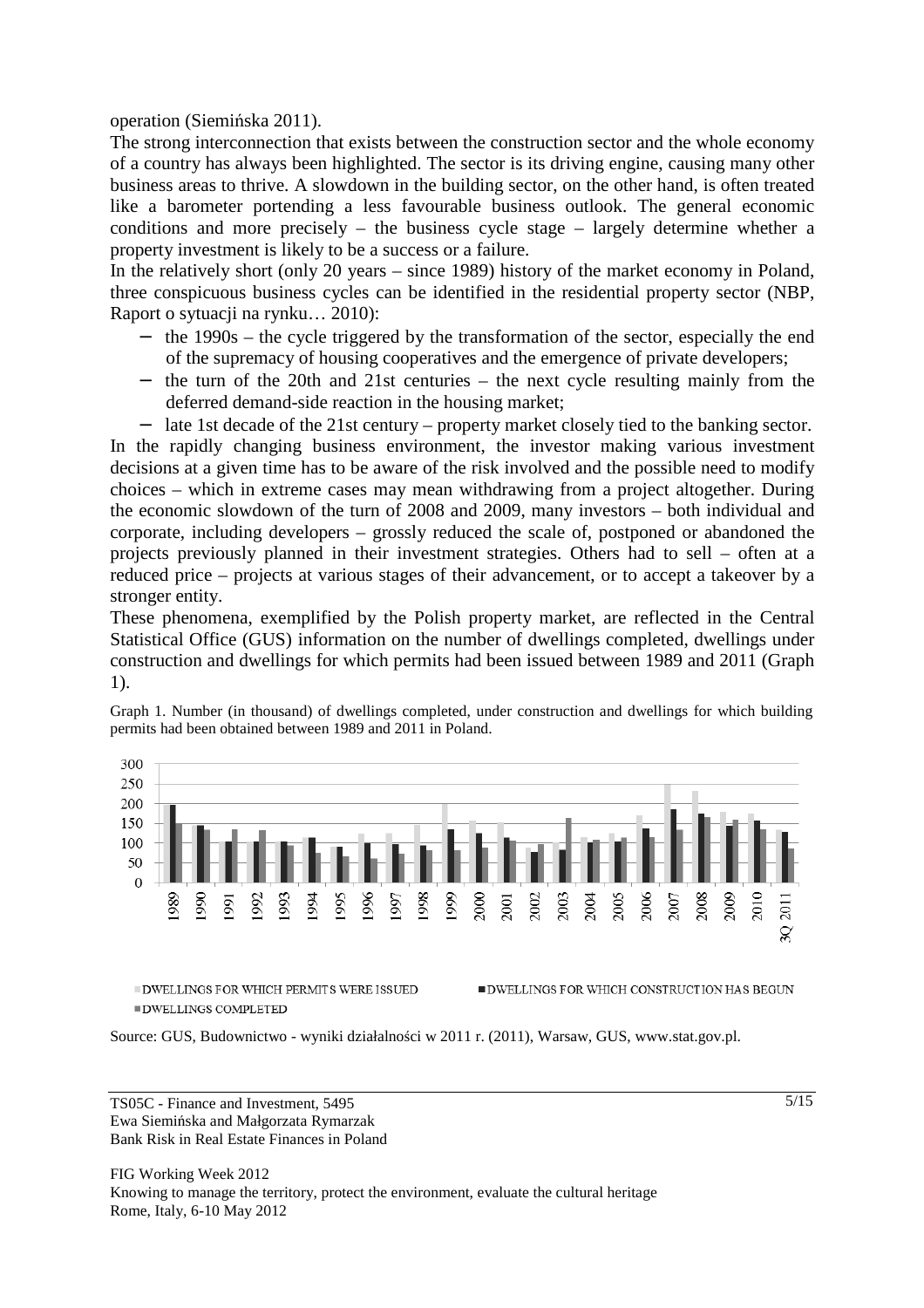operation (Siemińska 2011).

The strong interconnection that exists between the construction sector and the whole economy of a country has always been highlighted. The sector is its driving engine, causing many other business areas to thrive. A slowdown in the building sector, on the other hand, is often treated like a barometer portending a less favourable business outlook. The general economic conditions and more precisely – the business cycle stage – largely determine whether a property investment is likely to be a success or a failure.

In the relatively short (only 20 years – since 1989) history of the market economy in Poland, three conspicuous business cycles can be identified in the residential property sector (NBP, Raport o sytuacji na rynku… 2010):

- − the 1990s the cycle triggered by the transformation of the sector, especially the end of the supremacy of housing cooperatives and the emergence of private developers;
- − the turn of the 20th and 21st centuries the next cycle resulting mainly from the deferred demand-side reaction in the housing market;

− late 1st decade of the 21st century – property market closely tied to the banking sector. In the rapidly changing business environment, the investor making various investment decisions at a given time has to be aware of the risk involved and the possible need to modify choices – which in extreme cases may mean withdrawing from a project altogether. During the economic slowdown of the turn of 2008 and 2009, many investors – both individual and corporate, including developers – grossly reduced the scale of, postponed or abandoned the projects previously planned in their investment strategies. Others had to sell – often at a reduced price – projects at various stages of their advancement, or to accept a takeover by a stronger entity.

These phenomena, exemplified by the Polish property market, are reflected in the Central Statistical Office (GUS) information on the number of dwellings completed, dwellings under construction and dwellings for which permits had been issued between 1989 and 2011 (Graph 1).

Graph 1. Number (in thousand) of dwellings completed, under construction and dwellings for which building permits had been obtained between 1989 and 2011 in Poland.



 $\blacksquare$ DWELLINGS FOR WHICH PERMITS WERE ISSUED  $\blacksquare$ DWELLINGS COMPLETED

Source: GUS, Budownictwo - wyniki działalności w 2011 r. (2011), Warsaw, GUS, www.stat.gov.pl.

TS05C - Finance and Investment, 5495 Ewa Siemińska and Małgorzata Rymarzak Bank Risk in Real Estate Finances in Poland

FIG Working Week 2012 Knowing to manage the territory, protect the environment, evaluate the cultural heritage Rome, Italy, 6-10 May 2012

 $\blacksquare$ DWELLINGS FOR WHICH CONSTRUCTION HAS BEGUN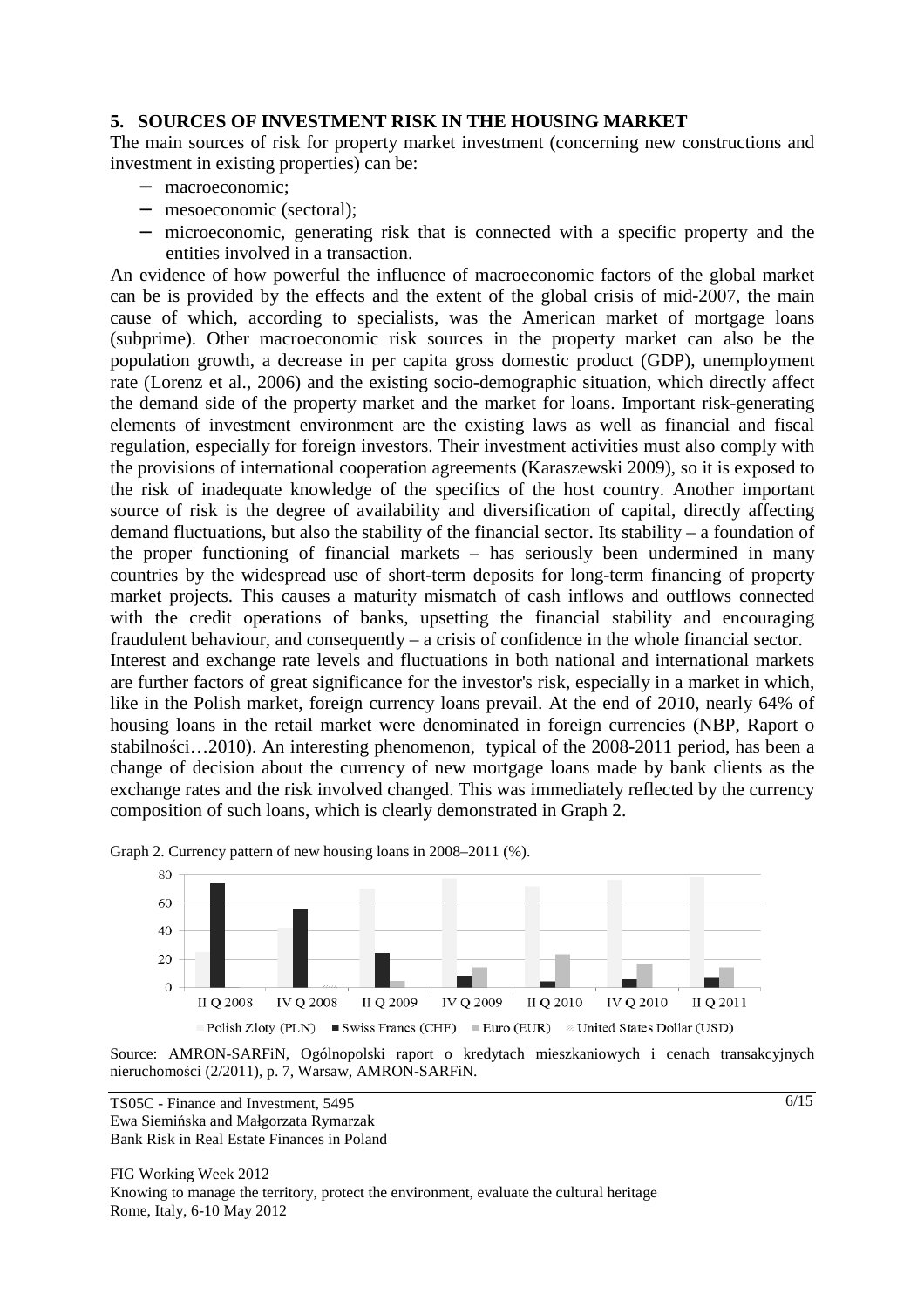#### **5. SOURCES OF INVESTMENT RISK IN THE HOUSING MARKET**

The main sources of risk for property market investment (concerning new constructions and investment in existing properties) can be:

- − macroeconomic;
- − mesoeconomic (sectoral);
- − microeconomic, generating risk that is connected with a specific property and the entities involved in a transaction.

An evidence of how powerful the influence of macroeconomic factors of the global market can be is provided by the effects and the extent of the global crisis of mid-2007, the main cause of which, according to specialists, was the American market of mortgage loans (subprime). Other macroeconomic risk sources in the property market can also be the population growth, a decrease in per capita gross domestic product (GDP), unemployment rate (Lorenz et al., 2006) and the existing socio-demographic situation, which directly affect the demand side of the property market and the market for loans. Important risk-generating elements of investment environment are the existing laws as well as financial and fiscal regulation, especially for foreign investors. Their investment activities must also comply with the provisions of international cooperation agreements (Karaszewski 2009), so it is exposed to the risk of inadequate knowledge of the specifics of the host country. Another important source of risk is the degree of availability and diversification of capital, directly affecting demand fluctuations, but also the stability of the financial sector. Its stability – a foundation of the proper functioning of financial markets – has seriously been undermined in many countries by the widespread use of short-term deposits for long-term financing of property market projects. This causes a maturity mismatch of cash inflows and outflows connected with the credit operations of banks, upsetting the financial stability and encouraging fraudulent behaviour, and consequently – a crisis of confidence in the whole financial sector.

Interest and exchange rate levels and fluctuations in both national and international markets are further factors of great significance for the investor's risk, especially in a market in which, like in the Polish market, foreign currency loans prevail. At the end of 2010, nearly 64% of housing loans in the retail market were denominated in foreign currencies (NBP, Raport o stabilności…2010). An interesting phenomenon, typical of the 2008-2011 period, has been a change of decision about the currency of new mortgage loans made by bank clients as the exchange rates and the risk involved changed. This was immediately reflected by the currency composition of such loans, which is clearly demonstrated in Graph 2.



Graph 2. Currency pattern of new housing loans in 2008–2011 (%).

Source: AMRON-SARFiN, Ogólnopolski raport o kredytach mieszkaniowych i cenach transakcyjnych nieruchomości (2/2011), p. 7, Warsaw, AMRON-SARFiN.

TS05C - Finance and Investment, 5495 Ewa Siemińska and Małgorzata Rymarzak Bank Risk in Real Estate Finances in Poland

FIG Working Week 2012 Knowing to manage the territory, protect the environment, evaluate the cultural heritage Rome, Italy, 6-10 May 2012

 $\sqrt{6/15}$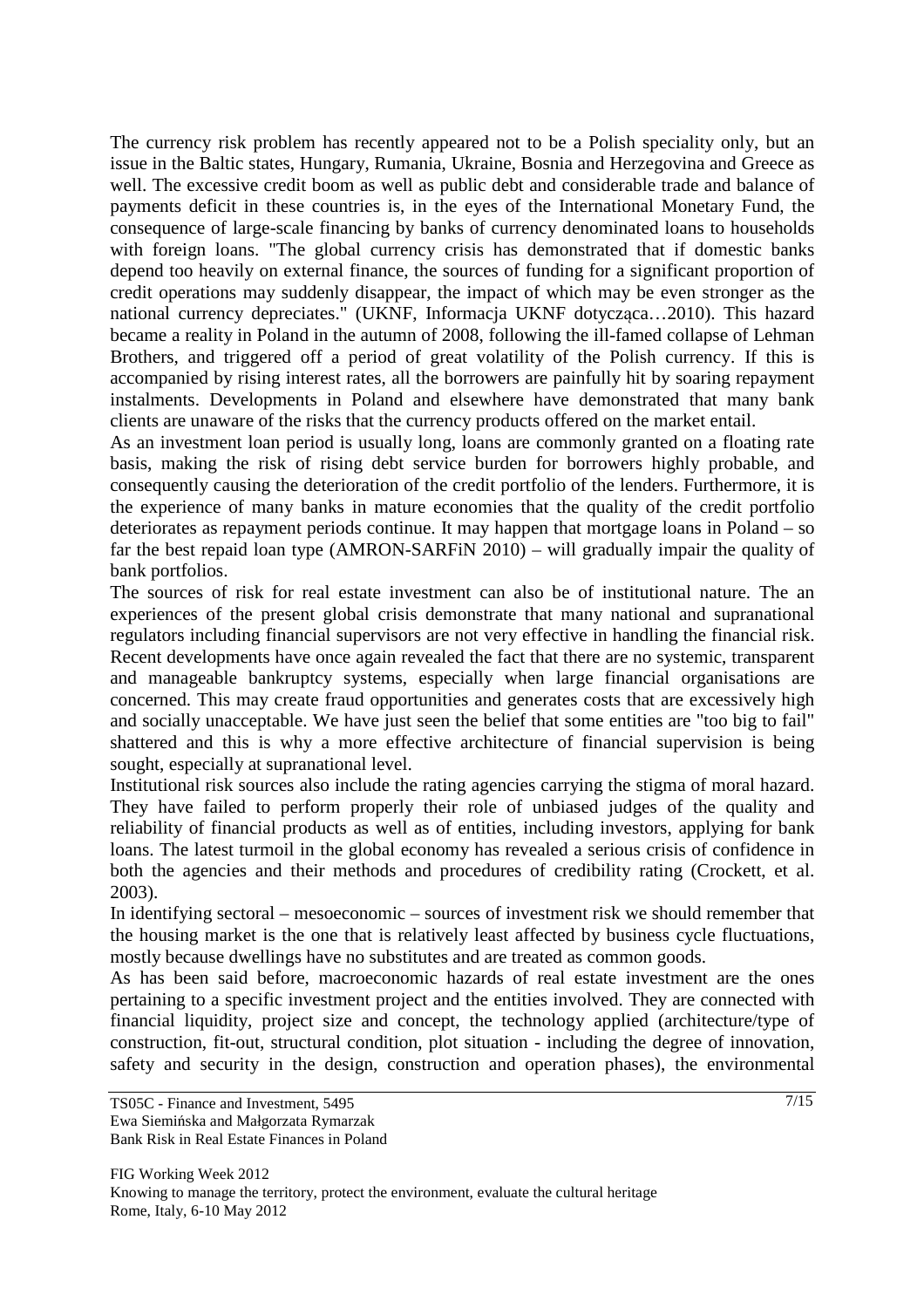The currency risk problem has recently appeared not to be a Polish speciality only, but an issue in the Baltic states, Hungary, Rumania, Ukraine, Bosnia and Herzegovina and Greece as well. The excessive credit boom as well as public debt and considerable trade and balance of payments deficit in these countries is, in the eyes of the International Monetary Fund, the consequence of large-scale financing by banks of currency denominated loans to households with foreign loans. "The global currency crisis has demonstrated that if domestic banks depend too heavily on external finance, the sources of funding for a significant proportion of credit operations may suddenly disappear, the impact of which may be even stronger as the national currency depreciates." (UKNF, Informacja UKNF dotycząca…2010). This hazard became a reality in Poland in the autumn of 2008, following the ill-famed collapse of Lehman Brothers, and triggered off a period of great volatility of the Polish currency. If this is accompanied by rising interest rates, all the borrowers are painfully hit by soaring repayment instalments. Developments in Poland and elsewhere have demonstrated that many bank clients are unaware of the risks that the currency products offered on the market entail.

As an investment loan period is usually long, loans are commonly granted on a floating rate basis, making the risk of rising debt service burden for borrowers highly probable, and consequently causing the deterioration of the credit portfolio of the lenders. Furthermore, it is the experience of many banks in mature economies that the quality of the credit portfolio deteriorates as repayment periods continue. It may happen that mortgage loans in Poland – so far the best repaid loan type (AMRON-SARFiN 2010) – will gradually impair the quality of bank portfolios.

The sources of risk for real estate investment can also be of institutional nature. The an experiences of the present global crisis demonstrate that many national and supranational regulators including financial supervisors are not very effective in handling the financial risk. Recent developments have once again revealed the fact that there are no systemic, transparent and manageable bankruptcy systems, especially when large financial organisations are concerned. This may create fraud opportunities and generates costs that are excessively high and socially unacceptable. We have just seen the belief that some entities are "too big to fail" shattered and this is why a more effective architecture of financial supervision is being sought, especially at supranational level.

Institutional risk sources also include the rating agencies carrying the stigma of moral hazard. They have failed to perform properly their role of unbiased judges of the quality and reliability of financial products as well as of entities, including investors, applying for bank loans. The latest turmoil in the global economy has revealed a serious crisis of confidence in both the agencies and their methods and procedures of credibility rating (Crockett, et al. 2003).

In identifying sectoral – mesoeconomic – sources of investment risk we should remember that the housing market is the one that is relatively least affected by business cycle fluctuations, mostly because dwellings have no substitutes and are treated as common goods.

As has been said before, macroeconomic hazards of real estate investment are the ones pertaining to a specific investment project and the entities involved. They are connected with financial liquidity, project size and concept, the technology applied (architecture/type of construction, fit-out, structural condition, plot situation - including the degree of innovation, safety and security in the design, construction and operation phases), the environmental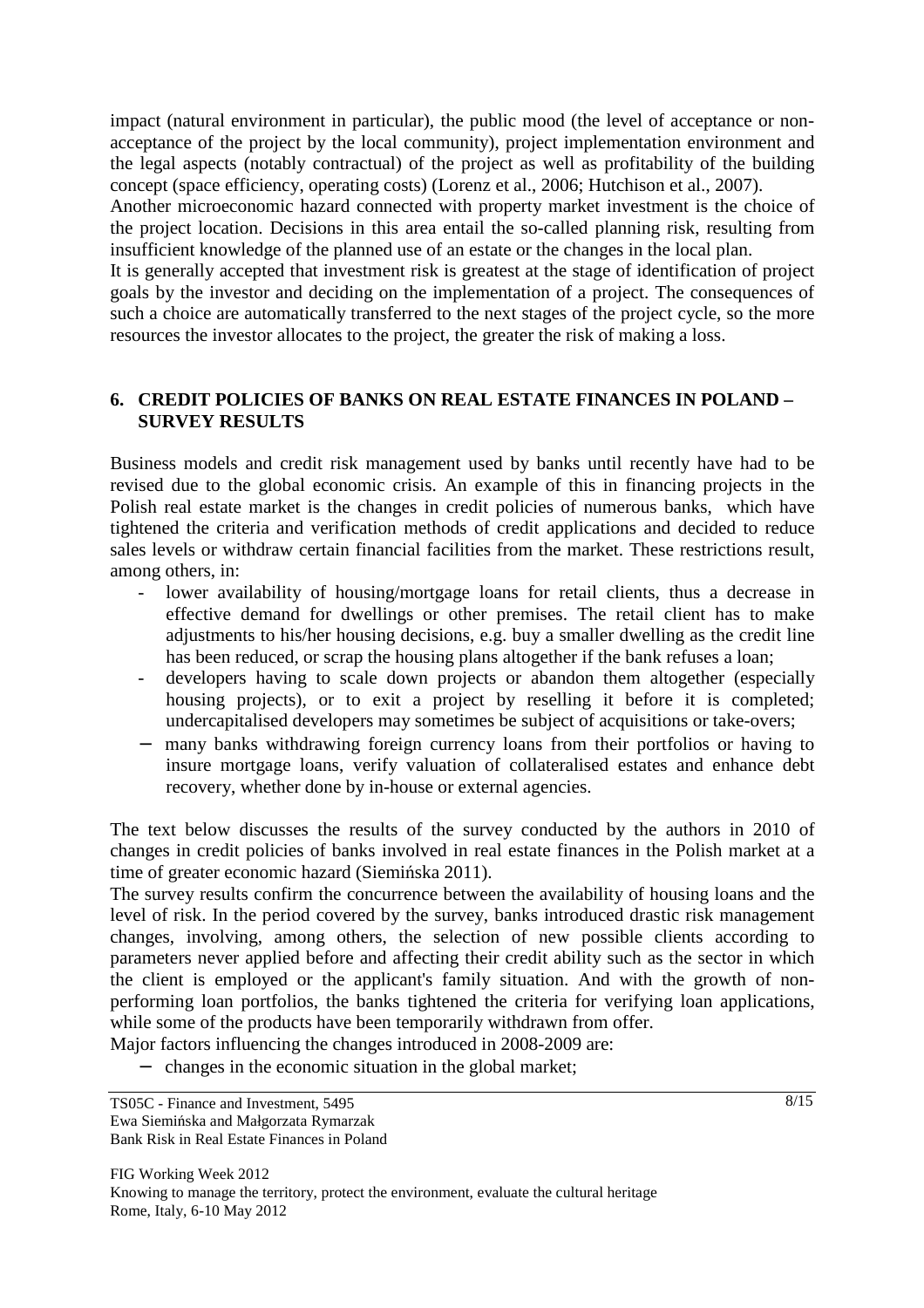impact (natural environment in particular), the public mood (the level of acceptance or nonacceptance of the project by the local community), project implementation environment and the legal aspects (notably contractual) of the project as well as profitability of the building concept (space efficiency, operating costs) (Lorenz et al., 2006; Hutchison et al., 2007).

Another microeconomic hazard connected with property market investment is the choice of the project location. Decisions in this area entail the so-called planning risk, resulting from insufficient knowledge of the planned use of an estate or the changes in the local plan.

It is generally accepted that investment risk is greatest at the stage of identification of project goals by the investor and deciding on the implementation of a project. The consequences of such a choice are automatically transferred to the next stages of the project cycle, so the more resources the investor allocates to the project, the greater the risk of making a loss.

# **6. CREDIT POLICIES OF BANKS ON REAL ESTATE FINANCES IN POLAND – SURVEY RESULTS**

Business models and credit risk management used by banks until recently have had to be revised due to the global economic crisis. An example of this in financing projects in the Polish real estate market is the changes in credit policies of numerous banks, which have tightened the criteria and verification methods of credit applications and decided to reduce sales levels or withdraw certain financial facilities from the market. These restrictions result, among others, in:

- lower availability of housing/mortgage loans for retail clients, thus a decrease in effective demand for dwellings or other premises. The retail client has to make adjustments to his/her housing decisions, e.g. buy a smaller dwelling as the credit line has been reduced, or scrap the housing plans altogether if the bank refuses a loan;
- developers having to scale down projects or abandon them altogether (especially housing projects), or to exit a project by reselling it before it is completed; undercapitalised developers may sometimes be subject of acquisitions or take-overs;
- − many banks withdrawing foreign currency loans from their portfolios or having to insure mortgage loans, verify valuation of collateralised estates and enhance debt recovery, whether done by in-house or external agencies.

The text below discusses the results of the survey conducted by the authors in 2010 of changes in credit policies of banks involved in real estate finances in the Polish market at a time of greater economic hazard (Siemińska 2011).

The survey results confirm the concurrence between the availability of housing loans and the level of risk. In the period covered by the survey, banks introduced drastic risk management changes, involving, among others, the selection of new possible clients according to parameters never applied before and affecting their credit ability such as the sector in which the client is employed or the applicant's family situation. And with the growth of nonperforming loan portfolios, the banks tightened the criteria for verifying loan applications, while some of the products have been temporarily withdrawn from offer.

Major factors influencing the changes introduced in 2008-2009 are:

− changes in the economic situation in the global market;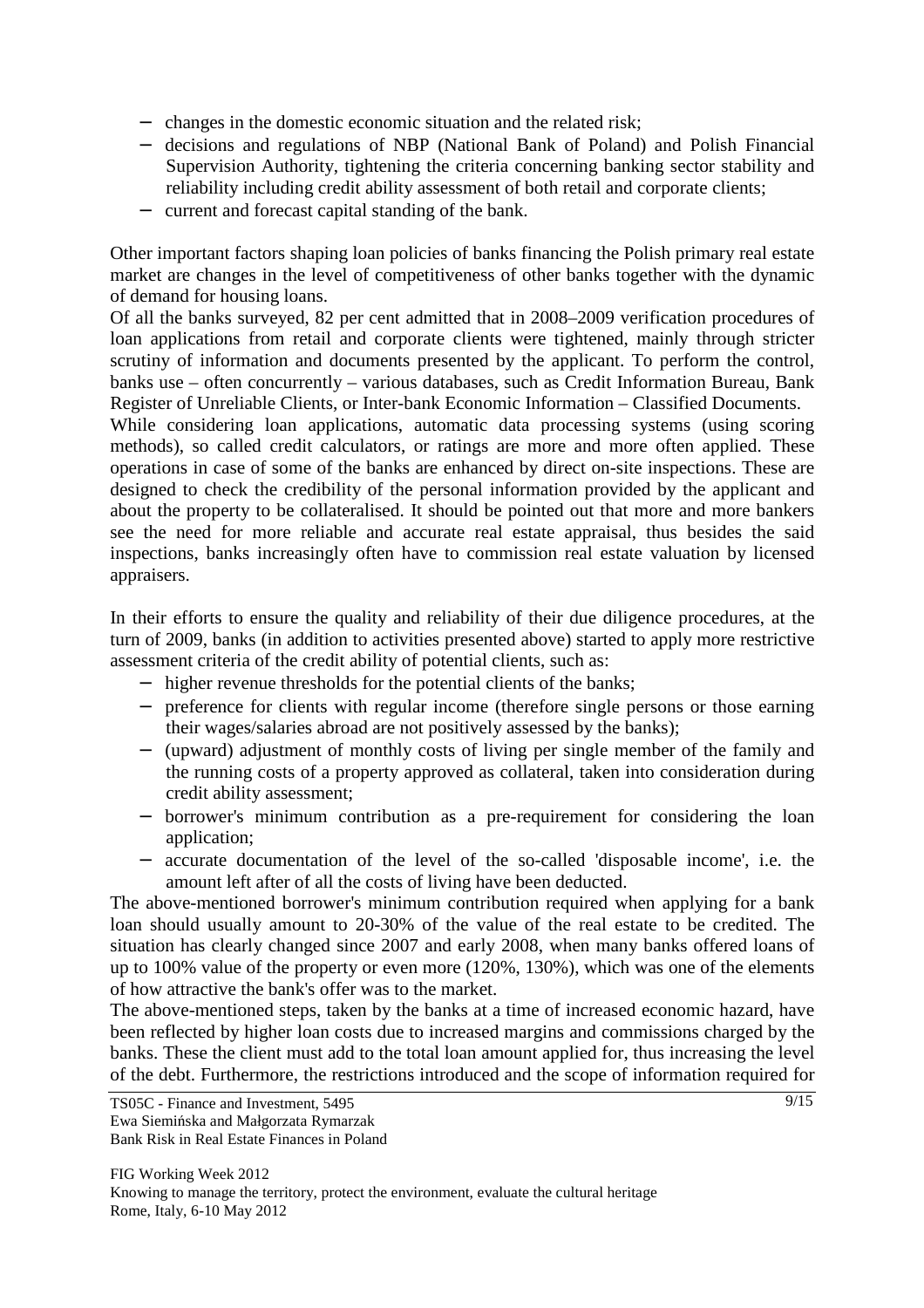- − changes in the domestic economic situation and the related risk;
- − decisions and regulations of NBP (National Bank of Poland) and Polish Financial Supervision Authority, tightening the criteria concerning banking sector stability and reliability including credit ability assessment of both retail and corporate clients;
- − current and forecast capital standing of the bank.

Other important factors shaping loan policies of banks financing the Polish primary real estate market are changes in the level of competitiveness of other banks together with the dynamic of demand for housing loans.

Of all the banks surveyed, 82 per cent admitted that in 2008–2009 verification procedures of loan applications from retail and corporate clients were tightened, mainly through stricter scrutiny of information and documents presented by the applicant. To perform the control, banks use – often concurrently – various databases, such as Credit Information Bureau, Bank Register of Unreliable Clients, or Inter-bank Economic Information – Classified Documents.

While considering loan applications, automatic data processing systems (using scoring methods), so called credit calculators, or ratings are more and more often applied. These operations in case of some of the banks are enhanced by direct on-site inspections. These are designed to check the credibility of the personal information provided by the applicant and about the property to be collateralised. It should be pointed out that more and more bankers see the need for more reliable and accurate real estate appraisal, thus besides the said inspections, banks increasingly often have to commission real estate valuation by licensed appraisers.

In their efforts to ensure the quality and reliability of their due diligence procedures, at the turn of 2009, banks (in addition to activities presented above) started to apply more restrictive assessment criteria of the credit ability of potential clients, such as:

- − higher revenue thresholds for the potential clients of the banks;
- − preference for clients with regular income (therefore single persons or those earning their wages/salaries abroad are not positively assessed by the banks);
- − (upward) adjustment of monthly costs of living per single member of the family and the running costs of a property approved as collateral, taken into consideration during credit ability assessment;
- − borrower's minimum contribution as a pre-requirement for considering the loan application;
- − accurate documentation of the level of the so-called 'disposable income', i.e. the amount left after of all the costs of living have been deducted.

The above-mentioned borrower's minimum contribution required when applying for a bank loan should usually amount to 20-30% of the value of the real estate to be credited. The situation has clearly changed since 2007 and early 2008, when many banks offered loans of up to 100% value of the property or even more (120%, 130%), which was one of the elements of how attractive the bank's offer was to the market.

The above-mentioned steps, taken by the banks at a time of increased economic hazard, have been reflected by higher loan costs due to increased margins and commissions charged by the banks. These the client must add to the total loan amount applied for, thus increasing the level of the debt. Furthermore, the restrictions introduced and the scope of information required for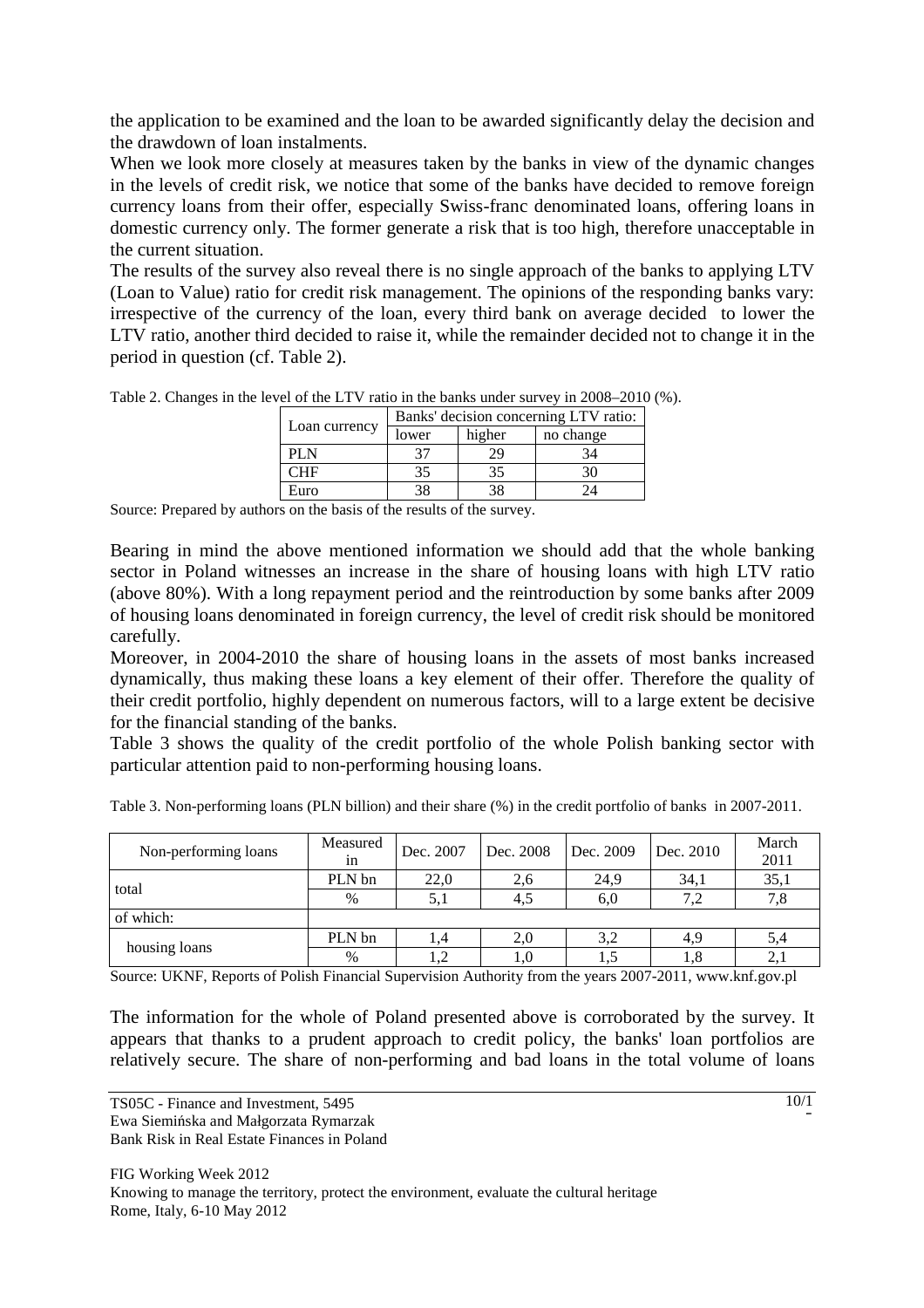the application to be examined and the loan to be awarded significantly delay the decision and the drawdown of loan instalments.

When we look more closely at measures taken by the banks in view of the dynamic changes in the levels of credit risk, we notice that some of the banks have decided to remove foreign currency loans from their offer, especially Swiss-franc denominated loans, offering loans in domestic currency only. The former generate a risk that is too high, therefore unacceptable in the current situation.

The results of the survey also reveal there is no single approach of the banks to applying LTV (Loan to Value) ratio for credit risk management. The opinions of the responding banks vary: irrespective of the currency of the loan, every third bank on average decided to lower the LTV ratio, another third decided to raise it, while the remainder decided not to change it in the period in question (cf. Table 2).

|                  | Banks' decision concerning LTV ratio: |        |           |  |  |
|------------------|---------------------------------------|--------|-----------|--|--|
| Loan currency    | lower                                 | higher | no change |  |  |
| PLN              |                                       | 29     |           |  |  |
| $\Box \text{HF}$ |                                       | 35     |           |  |  |
| Euro             |                                       | 38     |           |  |  |

Table 2. Changes in the level of the LTV ratio in the banks under survey in 2008–2010 (%).

Source: Prepared by authors on the basis of the results of the survey.

Bearing in mind the above mentioned information we should add that the whole banking sector in Poland witnesses an increase in the share of housing loans with high LTV ratio (above 80%). With a long repayment period and the reintroduction by some banks after 2009 of housing loans denominated in foreign currency, the level of credit risk should be monitored carefully.

Moreover, in 2004-2010 the share of housing loans in the assets of most banks increased dynamically, thus making these loans a key element of their offer. Therefore the quality of their credit portfolio, highly dependent on numerous factors, will to a large extent be decisive for the financial standing of the banks.

Table 3 shows the quality of the credit portfolio of the whole Polish banking sector with particular attention paid to non-performing housing loans.

Table 3. Non-performing loans (PLN billion) and their share (%) in the credit portfolio of banks in 2007-2011.

| Non-performing loans | Measured<br>1n | Dec. 2007 | Dec. 2008 | Dec. 2009 | Dec. 2010 | March<br>2011 |
|----------------------|----------------|-----------|-----------|-----------|-----------|---------------|
| total                | PLN bn         | 22,0      | 2,6       | 24.9      | 34.1      | 35,1          |
|                      | $\%$           | 5.1       |           | 6,0       |           | 7.8           |
| of which:            |                |           |           |           |           |               |
|                      | PLN bn         |           | 2,0       | 3,2       | 4.9       | 5,4           |
| housing loans        | $\%$           |           | 1.0       | 1.5       |           | 2,1           |

Source: UKNF, Reports of Polish Financial Supervision Authority from the years 2007-2011, www.knf.gov.pl

The information for the whole of Poland presented above is corroborated by the survey. It appears that thanks to a prudent approach to credit policy, the banks' loan portfolios are relatively secure. The share of non-performing and bad loans in the total volume of loans

TS05C - Finance and Investment, 5495 Ewa Siemińska and Małgorzata Rymarzak Bank Risk in Real Estate Finances in Poland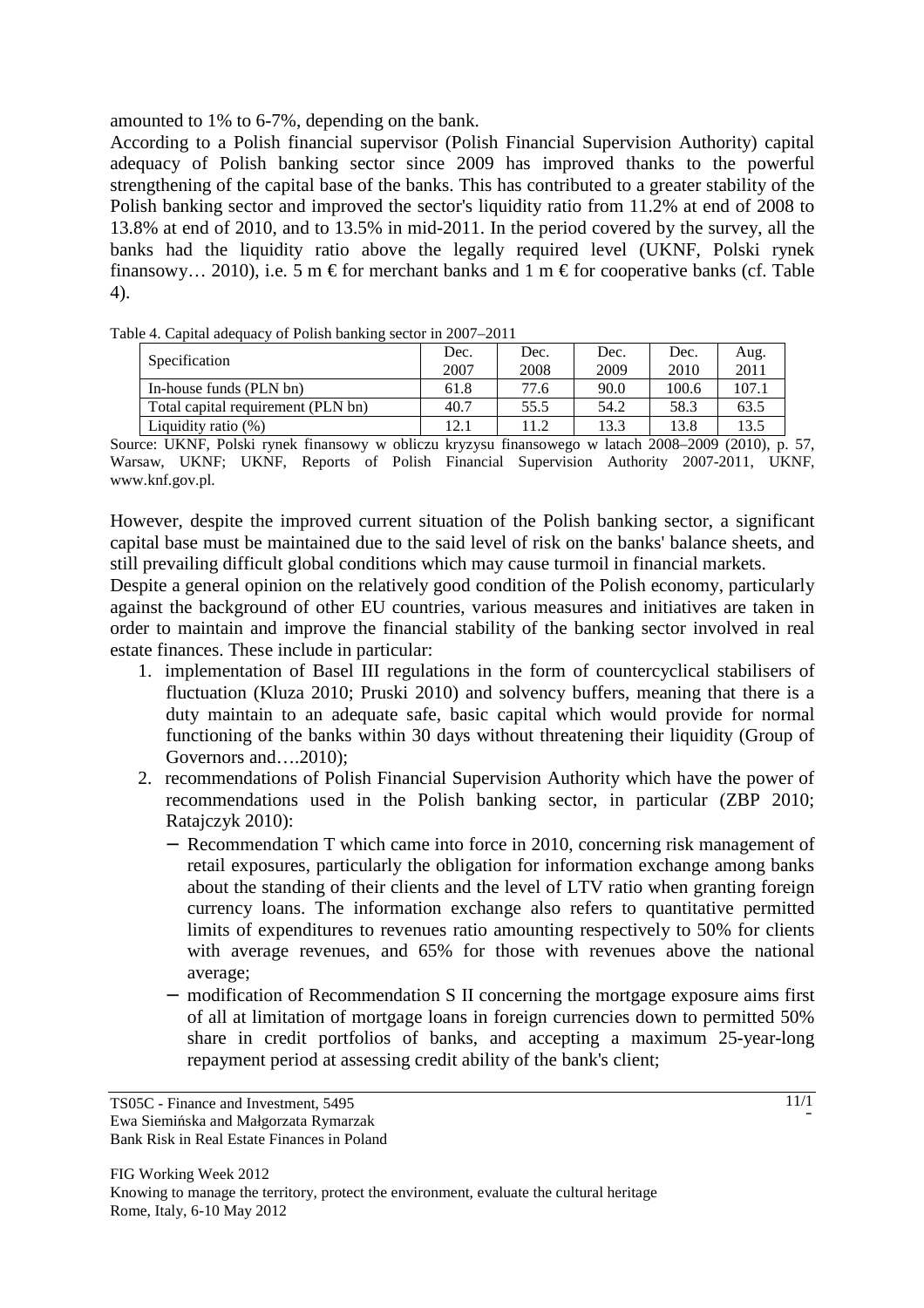amounted to 1% to 6-7%, depending on the bank.

According to a Polish financial supervisor (Polish Financial Supervision Authority) capital adequacy of Polish banking sector since 2009 has improved thanks to the powerful strengthening of the capital base of the banks. This has contributed to a greater stability of the Polish banking sector and improved the sector's liquidity ratio from 11.2% at end of 2008 to 13.8% at end of 2010, and to 13.5% in mid-2011. In the period covered by the survey, all the banks had the liquidity ratio above the legally required level (UKNF, Polski rynek finansowy... 2010), i.e. 5 m  $\epsilon$  for merchant banks and 1 m  $\epsilon$  for cooperative banks (cf. Table 4).

Table 4. Capital adequacy of Polish banking sector in 2007–2011

| ີ                                  | Dec.  | Dec. | Dec. | Dec.  | Aug.  |
|------------------------------------|-------|------|------|-------|-------|
| Specification                      | 2007  | 2008 | 2009 | 2010  | 2011  |
| In-house funds (PLN bn)            | 61.8  | 77.6 | 90.0 | 100.6 | 107.1 |
| Total capital requirement (PLN bn) | 40.7  | 55.5 | 54.2 | 58.3  | 63.5  |
| Liquidity ratio $(\%)$             | l 2.1 | 11.2 | 13.3 | 13.8  | 13.5  |

Source: UKNF, Polski rynek finansowy w obliczu kryzysu finansowego w latach 2008–2009 (2010), p. 57, Warsaw, UKNF; UKNF, Reports of Polish Financial Supervision Authority 2007-2011, UKNF, www.knf.gov.pl.

However, despite the improved current situation of the Polish banking sector, a significant capital base must be maintained due to the said level of risk on the banks' balance sheets, and still prevailing difficult global conditions which may cause turmoil in financial markets.

Despite a general opinion on the relatively good condition of the Polish economy, particularly against the background of other EU countries, various measures and initiatives are taken in order to maintain and improve the financial stability of the banking sector involved in real estate finances. These include in particular:

- 1. implementation of Basel III regulations in the form of countercyclical stabilisers of fluctuation (Kluza 2010; Pruski 2010) and solvency buffers, meaning that there is a duty maintain to an adequate safe, basic capital which would provide for normal functioning of the banks within 30 days without threatening their liquidity (Group of Governors and….2010);
- 2. recommendations of Polish Financial Supervision Authority which have the power of recommendations used in the Polish banking sector, in particular (ZBP 2010; Ratajczyk 2010):
	- − Recommendation T which came into force in 2010, concerning risk management of retail exposures, particularly the obligation for information exchange among banks about the standing of their clients and the level of LTV ratio when granting foreign currency loans. The information exchange also refers to quantitative permitted limits of expenditures to revenues ratio amounting respectively to 50% for clients with average revenues, and 65% for those with revenues above the national average;
	- − modification of Recommendation S II concerning the mortgage exposure aims first of all at limitation of mortgage loans in foreign currencies down to permitted 50% share in credit portfolios of banks, and accepting a maximum 25-year-long repayment period at assessing credit ability of the bank's client;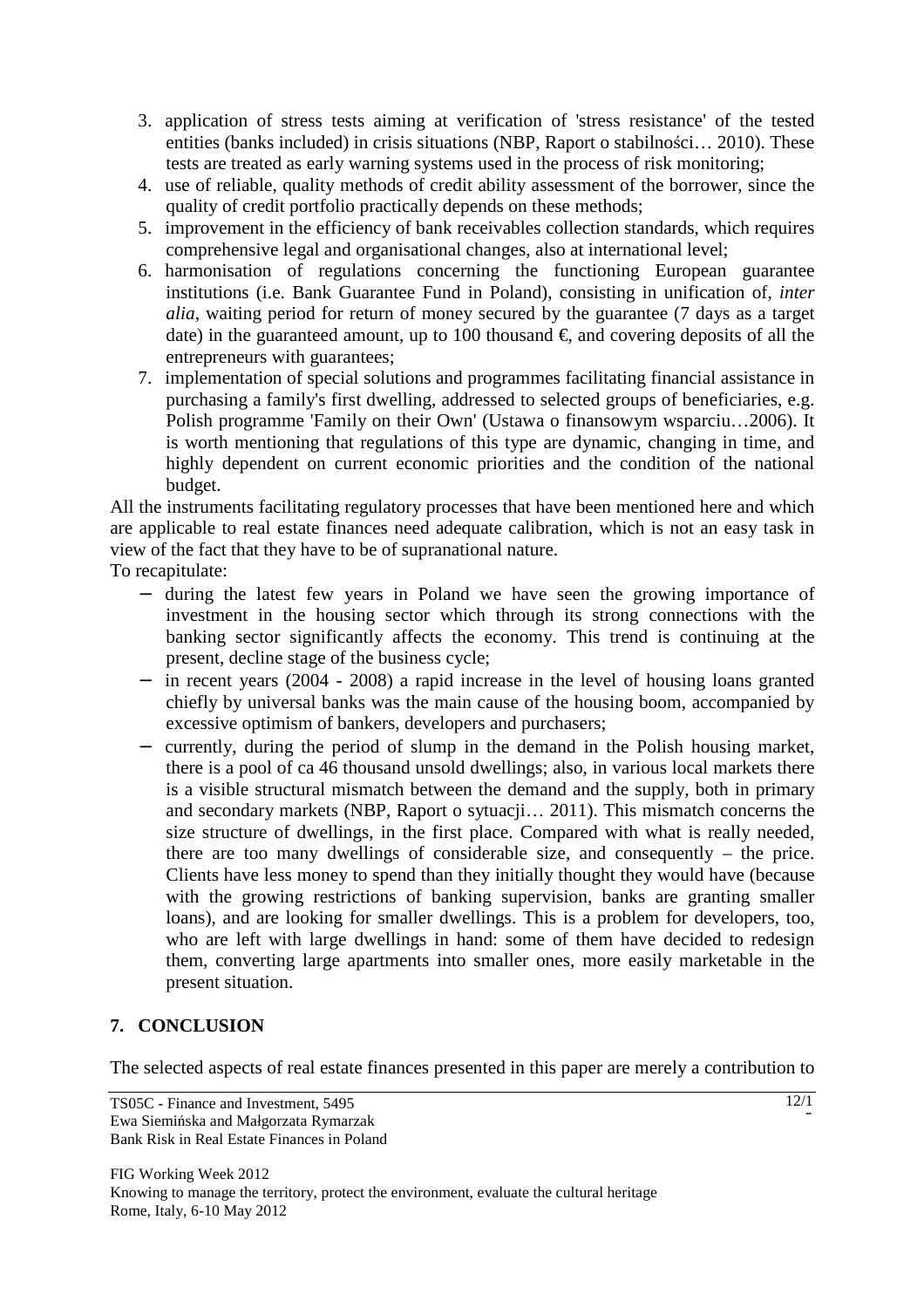- 3. application of stress tests aiming at verification of 'stress resistance' of the tested entities (banks included) in crisis situations (NBP, Raport o stabilności… 2010). These tests are treated as early warning systems used in the process of risk monitoring;
- 4. use of reliable, quality methods of credit ability assessment of the borrower, since the quality of credit portfolio practically depends on these methods;
- 5. improvement in the efficiency of bank receivables collection standards, which requires comprehensive legal and organisational changes, also at international level;
- 6. harmonisation of regulations concerning the functioning European guarantee institutions (i.e. Bank Guarantee Fund in Poland), consisting in unification of, *inter alia*, waiting period for return of money secured by the guarantee (7 days as a target date) in the guaranteed amount, up to 100 thousand  $\epsilon$ , and covering deposits of all the entrepreneurs with guarantees;
- 7. implementation of special solutions and programmes facilitating financial assistance in purchasing a family's first dwelling, addressed to selected groups of beneficiaries, e.g. Polish programme 'Family on their Own' (Ustawa o finansowym wsparciu…2006). It is worth mentioning that regulations of this type are dynamic, changing in time, and highly dependent on current economic priorities and the condition of the national budget.

All the instruments facilitating regulatory processes that have been mentioned here and which are applicable to real estate finances need adequate calibration, which is not an easy task in view of the fact that they have to be of supranational nature.

To recapitulate:

- − during the latest few years in Poland we have seen the growing importance of investment in the housing sector which through its strong connections with the banking sector significantly affects the economy. This trend is continuing at the present, decline stage of the business cycle;
- − in recent years (2004 2008) a rapid increase in the level of housing loans granted chiefly by universal banks was the main cause of the housing boom, accompanied by excessive optimism of bankers, developers and purchasers;
- − currently, during the period of slump in the demand in the Polish housing market, there is a pool of ca 46 thousand unsold dwellings; also, in various local markets there is a visible structural mismatch between the demand and the supply, both in primary and secondary markets (NBP, Raport o sytuacji… 2011). This mismatch concerns the size structure of dwellings, in the first place. Compared with what is really needed, there are too many dwellings of considerable size, and consequently – the price. Clients have less money to spend than they initially thought they would have (because with the growing restrictions of banking supervision, banks are granting smaller loans), and are looking for smaller dwellings. This is a problem for developers, too, who are left with large dwellings in hand: some of them have decided to redesign them, converting large apartments into smaller ones, more easily marketable in the present situation.

# **7. CONCLUSION**

The selected aspects of real estate finances presented in this paper are merely a contribution to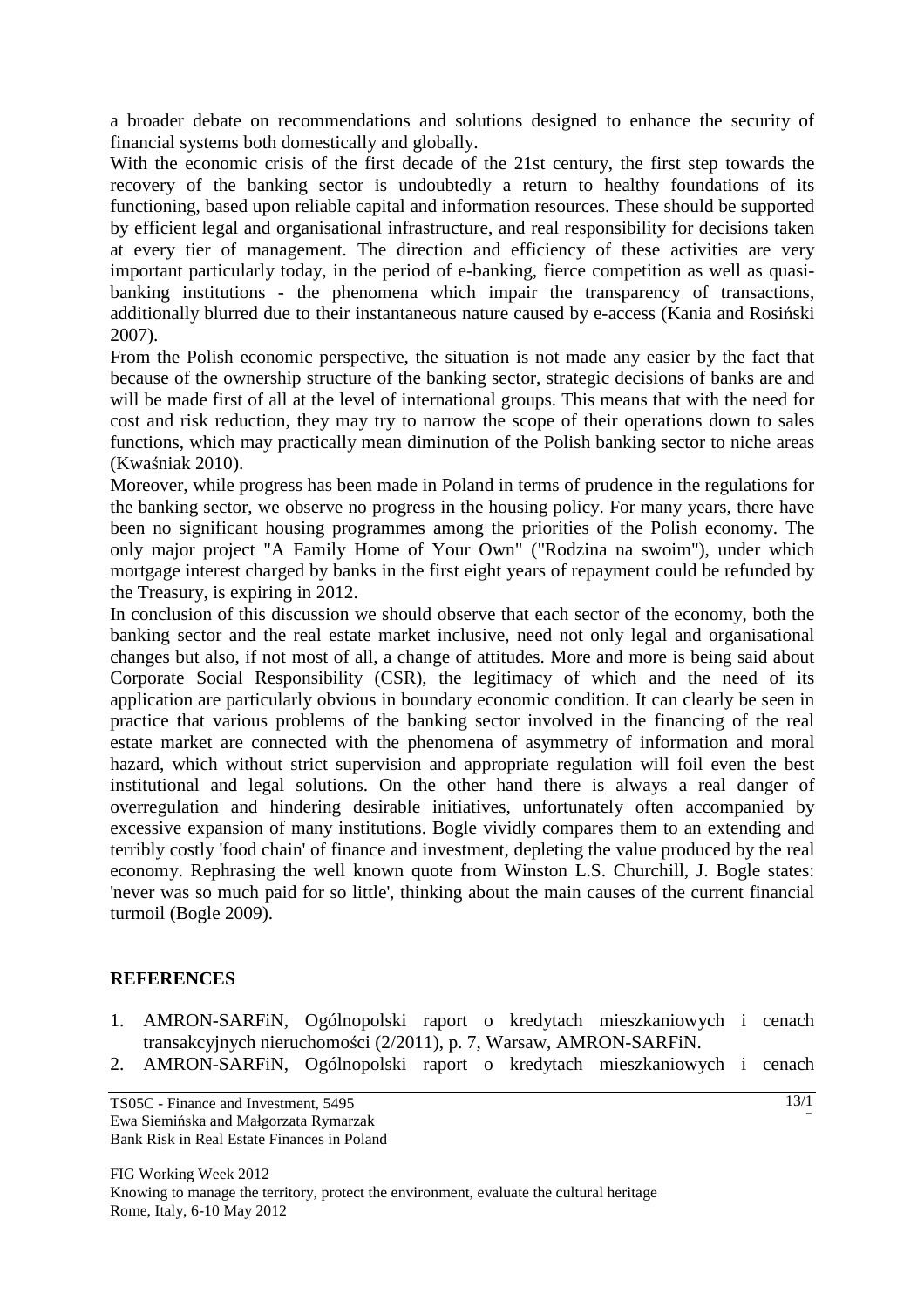a broader debate on recommendations and solutions designed to enhance the security of financial systems both domestically and globally.

With the economic crisis of the first decade of the 21st century, the first step towards the recovery of the banking sector is undoubtedly a return to healthy foundations of its functioning, based upon reliable capital and information resources. These should be supported by efficient legal and organisational infrastructure, and real responsibility for decisions taken at every tier of management. The direction and efficiency of these activities are very important particularly today, in the period of e-banking, fierce competition as well as quasibanking institutions - the phenomena which impair the transparency of transactions, additionally blurred due to their instantaneous nature caused by e-access (Kania and Rosiński 2007).

From the Polish economic perspective, the situation is not made any easier by the fact that because of the ownership structure of the banking sector, strategic decisions of banks are and will be made first of all at the level of international groups. This means that with the need for cost and risk reduction, they may try to narrow the scope of their operations down to sales functions, which may practically mean diminution of the Polish banking sector to niche areas (Kwaśniak 2010).

Moreover, while progress has been made in Poland in terms of prudence in the regulations for the banking sector, we observe no progress in the housing policy. For many years, there have been no significant housing programmes among the priorities of the Polish economy. The only major project "A Family Home of Your Own" ("Rodzina na swoim"), under which mortgage interest charged by banks in the first eight years of repayment could be refunded by the Treasury, is expiring in 2012.

In conclusion of this discussion we should observe that each sector of the economy, both the banking sector and the real estate market inclusive, need not only legal and organisational changes but also, if not most of all, a change of attitudes. More and more is being said about Corporate Social Responsibility (CSR), the legitimacy of which and the need of its application are particularly obvious in boundary economic condition. It can clearly be seen in practice that various problems of the banking sector involved in the financing of the real estate market are connected with the phenomena of asymmetry of information and moral hazard, which without strict supervision and appropriate regulation will foil even the best institutional and legal solutions. On the other hand there is always a real danger of overregulation and hindering desirable initiatives, unfortunately often accompanied by excessive expansion of many institutions. Bogle vividly compares them to an extending and terribly costly 'food chain' of finance and investment, depleting the value produced by the real economy. Rephrasing the well known quote from Winston L.S. Churchill, J. Bogle states: 'never was so much paid for so little', thinking about the main causes of the current financial turmoil (Bogle 2009).

# **REFERENCES**

- 1. AMRON-SARFiN, Ogólnopolski raport o kredytach mieszkaniowych i cenach transakcyjnych nieruchomości (2/2011), p. 7, Warsaw, AMRON-SARFiN.
- 2. AMRON-SARFiN, Ogólnopolski raport o kredytach mieszkaniowych i cenach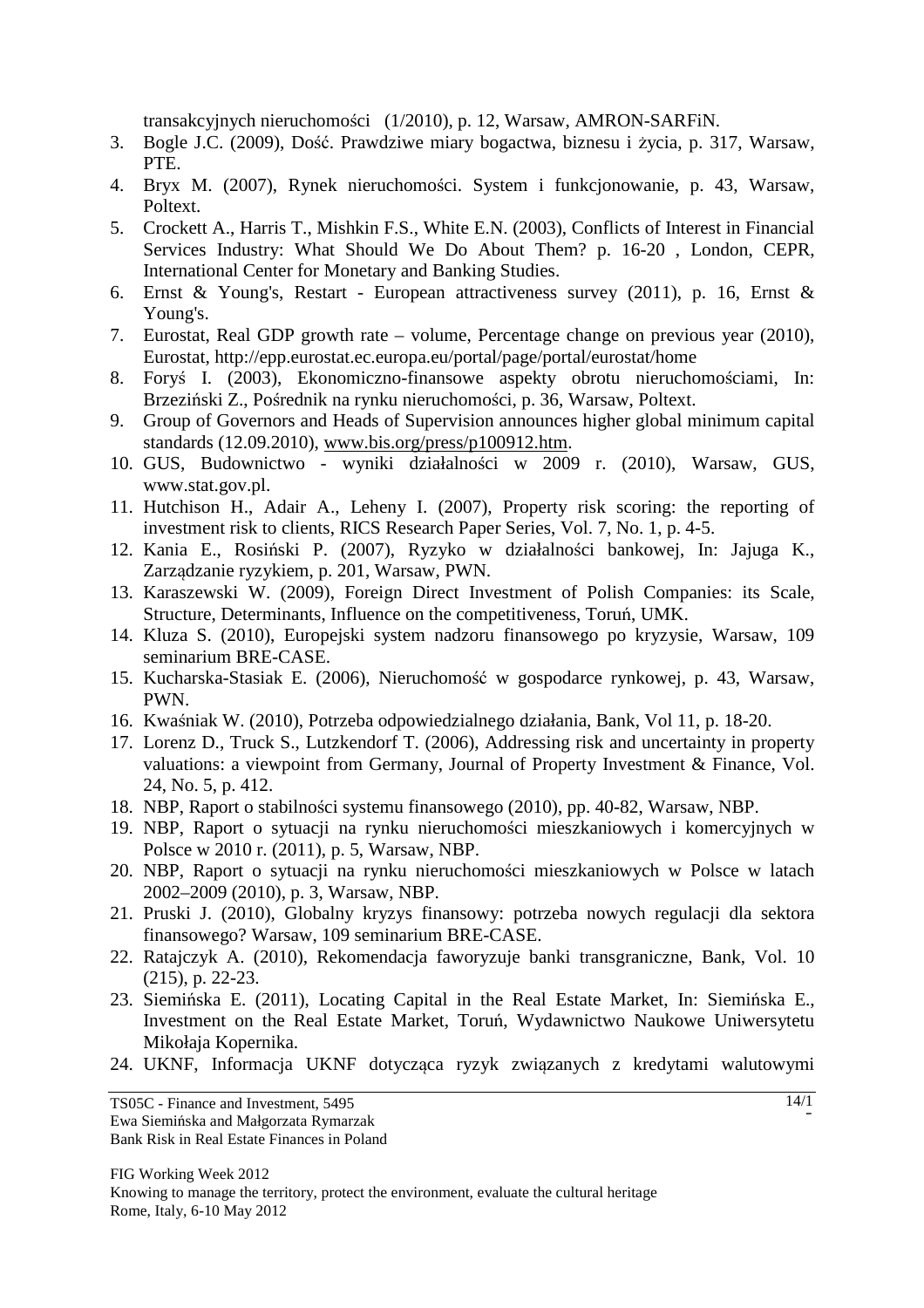transakcyjnych nieruchomości (1/2010), p. 12, Warsaw, AMRON-SARFiN.

- 3. Bogle J.C. (2009), Dość. Prawdziwe miary bogactwa, biznesu i życia, p. 317, Warsaw, PTE.
- 4. Bryx M. (2007), Rynek nieruchomości. System i funkcjonowanie, p. 43, Warsaw, Poltext.
- 5. Crockett A., Harris T., Mishkin F.S., White E.N. (2003), Conflicts of Interest in Financial Services Industry: What Should We Do About Them? p. 16-20 , London, CEPR, International Center for Monetary and Banking Studies.
- 6. Ernst & Young's, Restart European attractiveness survey (2011), p. 16, Ernst & Young's.
- 7. Eurostat, Real GDP growth rate volume, Percentage change on previous year (2010), Eurostat, http://epp.eurostat.ec.europa.eu/portal/page/portal/eurostat/home
- 8. Foryś I. (2003), Ekonomiczno-finansowe aspekty obrotu nieruchomościami, In: Brzeziński Z., Pośrednik na rynku nieruchomości, p. 36, Warsaw, Poltext.
- 9. Group of Governors and Heads of Supervision announces higher global minimum capital standards (12.09.2010), www.bis.org/press/p100912.htm.
- 10. GUS, Budownictwo wyniki działalności w 2009 r. (2010), Warsaw, GUS, www.stat.gov.pl.
- 11. Hutchison H., Adair A., Leheny I. (2007), Property risk scoring: the reporting of investment risk to clients, RICS Research Paper Series, Vol. 7, No. 1, p. 4-5.
- 12. Kania E., Rosiński P. (2007), Ryzyko w działalności bankowej, In: Jajuga K., Zarządzanie ryzykiem, p. 201, Warsaw, PWN.
- 13. Karaszewski W. (2009), Foreign Direct Investment of Polish Companies: its Scale, Structure, Determinants, Influence on the competitiveness, Toruń, UMK.
- 14. Kluza S. (2010), Europejski system nadzoru finansowego po kryzysie, Warsaw, 109 seminarium BRE-CASE.
- 15. Kucharska-Stasiak E. (2006), Nieruchomość w gospodarce rynkowej, p. 43, Warsaw, PWN.
- 16. Kwaśniak W. (2010), Potrzeba odpowiedzialnego działania, Bank, Vol 11, p. 18-20.
- 17. Lorenz D., Truck S., Lutzkendorf T. (2006), Addressing risk and uncertainty in property valuations: a viewpoint from Germany, Journal of Property Investment & Finance, Vol. 24, No. 5, p. 412.
- 18. NBP, Raport o stabilności systemu finansowego (2010), pp. 40-82, Warsaw, NBP.
- 19. NBP, Raport o sytuacji na rynku nieruchomości mieszkaniowych i komercyjnych w Polsce w 2010 r. (2011), p. 5, Warsaw, NBP.
- 20. NBP, Raport o sytuacji na rynku nieruchomości mieszkaniowych w Polsce w latach 2002–2009 (2010), p. 3, Warsaw, NBP.
- 21. Pruski J. (2010), Globalny kryzys finansowy: potrzeba nowych regulacji dla sektora finansowego? Warsaw, 109 seminarium BRE-CASE.
- 22. Ratajczyk A. (2010), Rekomendacja faworyzuje banki transgraniczne, Bank, Vol. 10 (215), p. 22-23.
- 23. Siemińska E. (2011), Locating Capital in the Real Estate Market, In: Siemińska E., Investment on the Real Estate Market, Toruń, Wydawnictwo Naukowe Uniwersytetu Mikołaja Kopernika.
- 24. UKNF, Informacja UKNF dotycząca ryzyk związanych z kredytami walutowymi